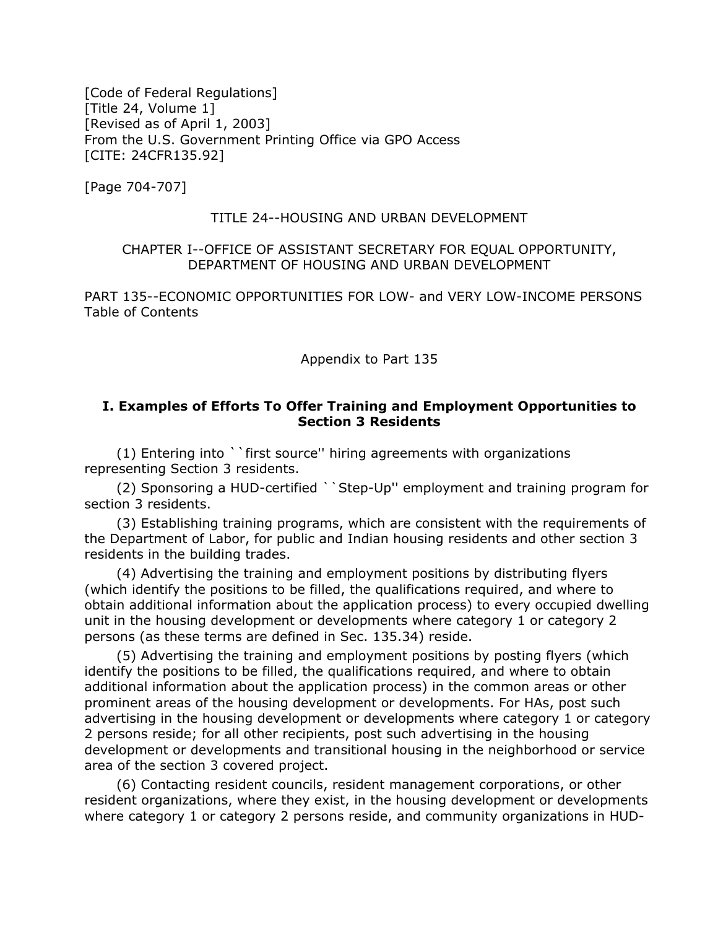[Code of Federal Regulations] [Title 24, Volume 1] [Revised as of April 1, 2003] From the U.S. Government Printing Office via GPO Access [CITE: 24CFR135.92]

[Page 704-707]

## TITLE 24--HOUSING AND URBAN DEVELOPMENT

## CHAPTER I--OFFICE OF ASSISTANT SECRETARY FOR EQUAL OPPORTUNITY, DEPARTMENT OF HOUSING AND URBAN DEVELOPMENT

PART 135--ECONOMIC OPPORTUNITIES FOR LOW- and VERY LOW-INCOME PERSONS Table of Contents

Appendix to Part 135

## **I. Examples of Efforts To Offer Training and Employment Opportunities to Section 3 Residents**

(1) Entering into ``first source'' hiring agreements with organizations representing Section 3 residents.

(2) Sponsoring a HUD-certified ``Step-Up'' employment and training program for section 3 residents.

(3) Establishing training programs, which are consistent with the requirements of the Department of Labor, for public and Indian housing residents and other section 3 residents in the building trades.

(4) Advertising the training and employment positions by distributing flyers (which identify the positions to be filled, the qualifications required, and where to obtain additional information about the application process) to every occupied dwelling unit in the housing development or developments where category 1 or category 2 persons (as these terms are defined in Sec. 135.34) reside.

(5) Advertising the training and employment positions by posting flyers (which identify the positions to be filled, the qualifications required, and where to obtain additional information about the application process) in the common areas or other prominent areas of the housing development or developments. For HAs, post such advertising in the housing development or developments where category 1 or category 2 persons reside; for all other recipients, post such advertising in the housing development or developments and transitional housing in the neighborhood or service area of the section 3 covered project.

(6) Contacting resident councils, resident management corporations, or other resident organizations, where they exist, in the housing development or developments where category 1 or category 2 persons reside, and community organizations in HUD-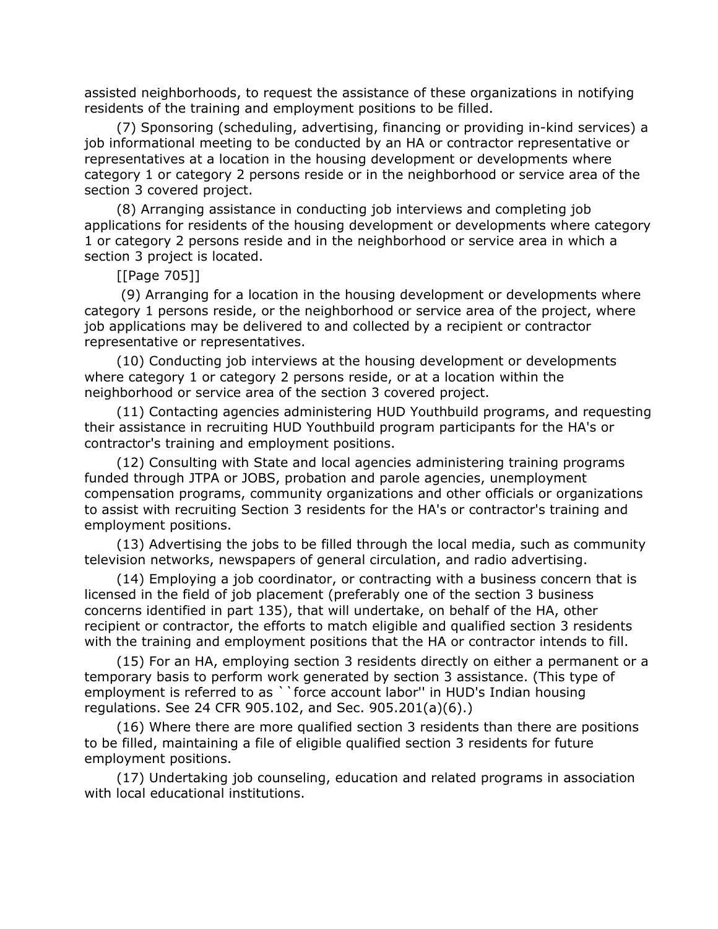assisted neighborhoods, to request the assistance of these organizations in notifying residents of the training and employment positions to be filled.

(7) Sponsoring (scheduling, advertising, financing or providing in-kind services) a job informational meeting to be conducted by an HA or contractor representative or representatives at a location in the housing development or developments where category 1 or category 2 persons reside or in the neighborhood or service area of the section 3 covered project.

(8) Arranging assistance in conducting job interviews and completing job applications for residents of the housing development or developments where category 1 or category 2 persons reside and in the neighborhood or service area in which a section 3 project is located.

[[Page 705]]

 (9) Arranging for a location in the housing development or developments where category 1 persons reside, or the neighborhood or service area of the project, where job applications may be delivered to and collected by a recipient or contractor representative or representatives.

(10) Conducting job interviews at the housing development or developments where category 1 or category 2 persons reside, or at a location within the neighborhood or service area of the section 3 covered project.

(11) Contacting agencies administering HUD Youthbuild programs, and requesting their assistance in recruiting HUD Youthbuild program participants for the HA's or contractor's training and employment positions.

(12) Consulting with State and local agencies administering training programs funded through JTPA or JOBS, probation and parole agencies, unemployment compensation programs, community organizations and other officials or organizations to assist with recruiting Section 3 residents for the HA's or contractor's training and employment positions.

(13) Advertising the jobs to be filled through the local media, such as community television networks, newspapers of general circulation, and radio advertising.

(14) Employing a job coordinator, or contracting with a business concern that is licensed in the field of job placement (preferably one of the section 3 business concerns identified in part 135), that will undertake, on behalf of the HA, other recipient or contractor, the efforts to match eligible and qualified section 3 residents with the training and employment positions that the HA or contractor intends to fill.

(15) For an HA, employing section 3 residents directly on either a permanent or a temporary basis to perform work generated by section 3 assistance. (This type of employment is referred to as ``force account labor'' in HUD's Indian housing regulations. See 24 CFR 905.102, and Sec. 905.201(a)(6).)

(16) Where there are more qualified section 3 residents than there are positions to be filled, maintaining a file of eligible qualified section 3 residents for future employment positions.

(17) Undertaking job counseling, education and related programs in association with local educational institutions.